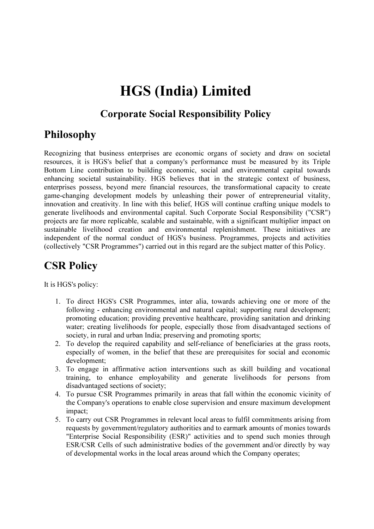# HGS (India) Limited

#### Corporate Social Responsibility Policy

## Philosophy

Recognizing that business enterprises are economic organs of society and draw on societal resources, it is HGS's belief that a company's performance must be measured by its Triple Bottom Line contribution to building economic, social and environmental capital towards enhancing societal sustainability. HGS believes that in the strategic context of business, enterprises possess, beyond mere financial resources, the transformational capacity to create game-changing development models by unleashing their power of entrepreneurial vitality, innovation and creativity. In line with this belief, HGS will continue crafting unique models to generate livelihoods and environmental capital. Such Corporate Social Responsibility ("CSR") projects are far more replicable, scalable and sustainable, with a significant multiplier impact on sustainable livelihood creation and environmental replenishment. These initiatives are independent of the normal conduct of HGS's business. Programmes, projects and activities (collectively "CSR Programmes") carried out in this regard are the subject matter of this Policy.

# CSR Policy

It is HGS's policy:

- 1. To direct HGS's CSR Programmes, inter alia, towards achieving one or more of the following - enhancing environmental and natural capital; supporting rural development; promoting education; providing preventive healthcare, providing sanitation and drinking water; creating livelihoods for people, especially those from disadvantaged sections of society, in rural and urban India; preserving and promoting sports;
- 2. To develop the required capability and self-reliance of beneficiaries at the grass roots, especially of women, in the belief that these are prerequisites for social and economic development;
- 3. To engage in affirmative action interventions such as skill building and vocational training, to enhance employability and generate livelihoods for persons from disadvantaged sections of society;
- 4. To pursue CSR Programmes primarily in areas that fall within the economic vicinity of the Company's operations to enable close supervision and ensure maximum development impact;
- 5. To carry out CSR Programmes in relevant local areas to fulfil commitments arising from requests by government/regulatory authorities and to earmark amounts of monies towards "Enterprise Social Responsibility (ESR)" activities and to spend such monies through ESR/CSR Cells of such administrative bodies of the government and/or directly by way of developmental works in the local areas around which the Company operates;